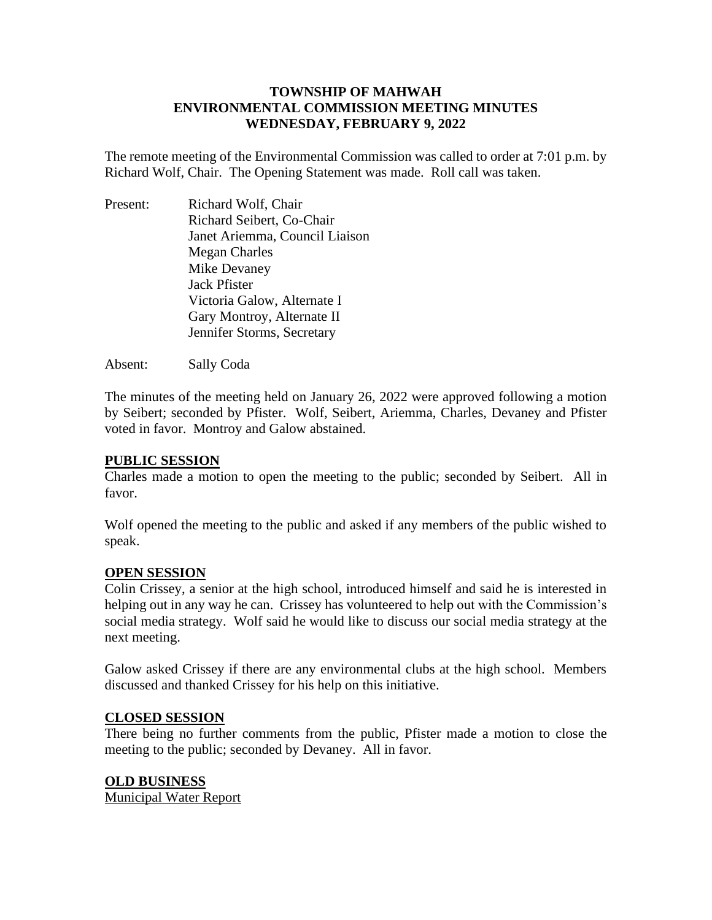# **TOWNSHIP OF MAHWAH ENVIRONMENTAL COMMISSION MEETING MINUTES WEDNESDAY, FEBRUARY 9, 2022**

The remote meeting of the Environmental Commission was called to order at 7:01 p.m. by Richard Wolf, Chair. The Opening Statement was made. Roll call was taken.

Present: Richard Wolf, Chair Richard Seibert, Co-Chair Janet Ariemma, Council Liaison Megan Charles Mike Devaney Jack Pfister Victoria Galow, Alternate I Gary Montroy, Alternate II Jennifer Storms, Secretary

Absent: Sally Coda

The minutes of the meeting held on January 26, 2022 were approved following a motion by Seibert; seconded by Pfister. Wolf, Seibert, Ariemma, Charles, Devaney and Pfister voted in favor. Montroy and Galow abstained.

## **PUBLIC SESSION**

Charles made a motion to open the meeting to the public; seconded by Seibert. All in favor.

Wolf opened the meeting to the public and asked if any members of the public wished to speak.

#### **OPEN SESSION**

Colin Crissey, a senior at the high school, introduced himself and said he is interested in helping out in any way he can. Crissey has volunteered to help out with the Commission's social media strategy. Wolf said he would like to discuss our social media strategy at the next meeting.

Galow asked Crissey if there are any environmental clubs at the high school. Members discussed and thanked Crissey for his help on this initiative.

## **CLOSED SESSION**

There being no further comments from the public, Pfister made a motion to close the meeting to the public; seconded by Devaney. All in favor.

## **OLD BUSINESS**

Municipal Water Report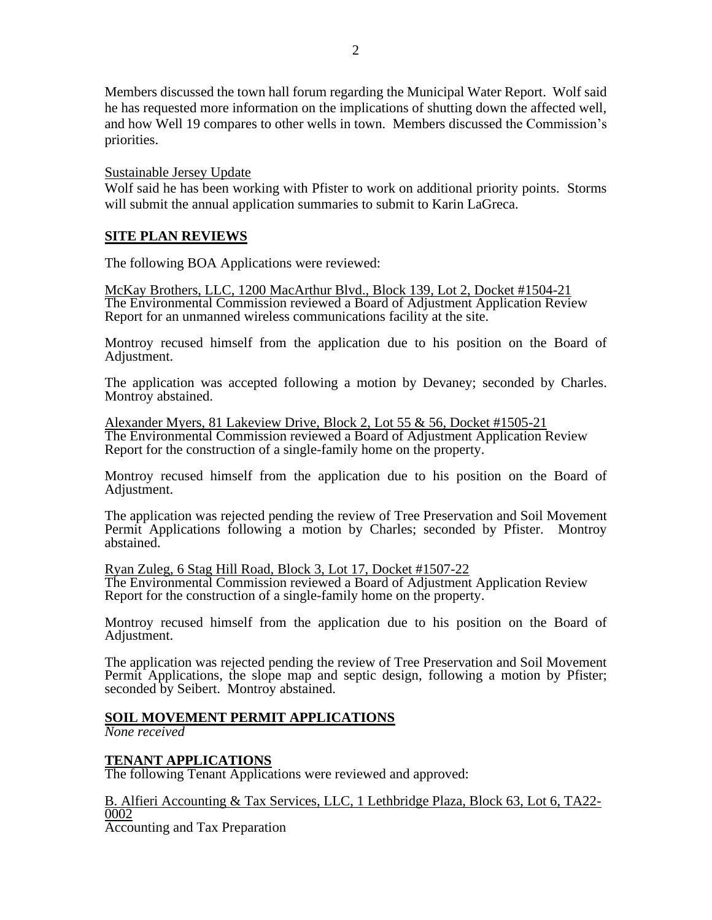Members discussed the town hall forum regarding the Municipal Water Report. Wolf said he has requested more information on the implications of shutting down the affected well, and how Well 19 compares to other wells in town. Members discussed the Commission's priorities.

#### Sustainable Jersey Update

Wolf said he has been working with Pfister to work on additional priority points. Storms will submit the annual application summaries to submit to Karin LaGreca.

# **SITE PLAN REVIEWS**

The following BOA Applications were reviewed:

McKay Brothers, LLC, 1200 MacArthur Blvd., Block 139, Lot 2, Docket #1504-21 The Environmental Commission reviewed a Board of Adjustment Application Review Report for an unmanned wireless communications facility at the site.

Montroy recused himself from the application due to his position on the Board of Adjustment.

The application was accepted following a motion by Devaney; seconded by Charles. Montroy abstained.

Alexander Myers, 81 Lakeview Drive, Block 2, Lot 55 & 56, Docket #1505-21 The Environmental Commission reviewed a Board of Adjustment Application Review Report for the construction of a single-family home on the property.

Montroy recused himself from the application due to his position on the Board of Adjustment.

The application was rejected pending the review of Tree Preservation and Soil Movement Permit Applications following a motion by Charles; seconded by Pfister. Montroy abstained.

Ryan Zuleg, 6 Stag Hill Road, Block 3, Lot 17, Docket #1507-22 The Environmental Commission reviewed a Board of Adjustment Application Review Report for the construction of a single-family home on the property.

Montroy recused himself from the application due to his position on the Board of Adjustment.

The application was rejected pending the review of Tree Preservation and Soil Movement Permit Applications, the slope map and septic design, following a motion by Pfister; seconded by Seibert. Montroy abstained.

## **SOIL MOVEMENT PERMIT APPLICATIONS**

*None received*

## **TENANT APPLICATIONS**

The following Tenant Applications were reviewed and approved:

B. Alfieri Accounting & Tax Services, LLC, 1 Lethbridge Plaza, Block 63, Lot 6, TA22- 0002 Accounting and Tax Preparation